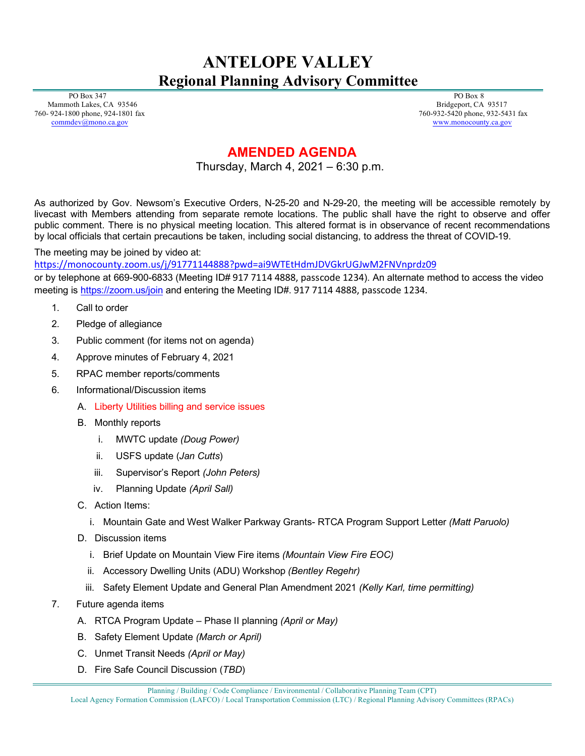## **ANTELOPE VALLEY Regional Planning Advisory Committee**

 PO Box 347 Mammoth Lakes, CA 93546 760- 924-1800 phone, 924-1801 fax [commdev@mono.ca.gov](mailto:commdev@mono.ca.gov)

 PO Box 8 Bridgeport, CA 93517 760-932-5420 phone, 932-5431 fax www.monocounty.ca.gov

## **AMENDED AGENDA**

Thursday, March 4, 2021 – 6:30 p.m.

As authorized by Gov. Newsom's Executive Orders, N-25-20 and N-29-20, the meeting will be accessible remotely by livecast with Members attending from separate remote locations. The public shall have the right to observe and offer public comment. There is no physical meeting location. This altered format is in observance of recent recommendations by local officials that certain precautions be taken, including social distancing, to address the threat of COVID-19.

The meeting may be joined by video at:

<https://monocounty.zoom.us/j/91771144888?pwd=ai9WTEtHdmJDVGkrUGJwM2FNVnprdz09>

or by telephone at 669-900-6833 (Meeting ID# 917 7114 4888, passcode 1234). An alternate method to access the video meeting is <https://zoom.us/join> and entering the Meeting ID#. 917 7114 4888, passcode 1234.

- 1. Call to order
- 2. Pledge of allegiance
- 3. Public comment (for items not on agenda)
- 4. Approve minutes of February 4, 2021
- 5. RPAC member reports/comments
- 6. Informational/Discussion items
	- A. Liberty Utilities billing and service issues
	- B. Monthly reports
		- i. MWTC update *(Doug Power)*
		- ii. USFS update (*Jan Cutts*)
		- iii. Supervisor's Report *(John Peters)*
		- iv. Planning Update *(April Sall)*
	- C. Action Items:
		- i. Mountain Gate and West Walker Parkway Grants- RTCA Program Support Letter *(Matt Paruolo)*
	- D. Discussion items
		- i. Brief Update on Mountain View Fire items *(Mountain View Fire EOC)*
		- ii. Accessory Dwelling Units (ADU) Workshop *(Bentley Regehr)*
		- iii. Safety Element Update and General Plan Amendment 2021 *(Kelly Karl, time permitting)*
- 7. Future agenda items
	- A. RTCA Program Update Phase II planning *(April or May)*
	- B. Safety Element Update *(March or April)*
	- C. Unmet Transit Needs *(April or May)*
	- D. Fire Safe Council Discussion (*TBD*)